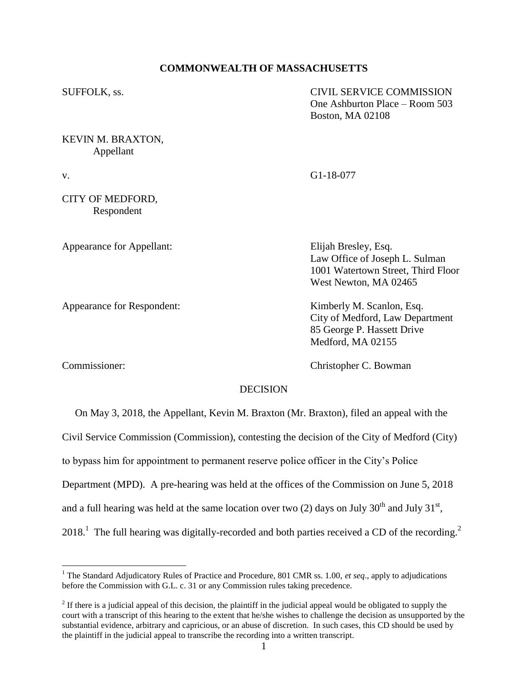# **COMMONWEALTH OF MASSACHUSETTS**

| SUFFOLK, ss.                   | <b>CIVIL SERVICE COMMISSION</b><br>One Ashburton Place – Room 503<br>Boston, MA 02108                                 |
|--------------------------------|-----------------------------------------------------------------------------------------------------------------------|
| KEVIN M. BRAXTON,<br>Appellant |                                                                                                                       |
| v.                             | G1-18-077                                                                                                             |
| CITY OF MEDFORD,<br>Respondent |                                                                                                                       |
| Appearance for Appellant:      | Elijah Bresley, Esq.<br>Law Office of Joseph L. Sulman<br>1001 Watertown Street, Third Floor<br>West Newton, MA 02465 |
| Appearance for Respondent:     | Kimberly M. Scanlon, Esq.<br>City of Medford, Law Department<br>85 George P. Hassett Drive<br>Medford, MA 02155       |

 $\overline{a}$ 

Commissioner: Christopher C. Bowman

# **DECISION**

 On May 3, 2018, the Appellant, Kevin M. Braxton (Mr. Braxton), filed an appeal with the Civil Service Commission (Commission), contesting the decision of the City of Medford (City) to bypass him for appointment to permanent reserve police officer in the City's Police Department (MPD). A pre-hearing was held at the offices of the Commission on June 5, 2018 and a full hearing was held at the same location over two (2) days on July 30<sup>th</sup> and July 31<sup>st</sup>,  $2018$ <sup>1</sup>. The full hearing was digitally-recorded and both parties received a CD of the recording.<sup>2</sup>

<sup>&</sup>lt;sup>1</sup> The Standard Adjudicatory Rules of Practice and Procedure, 801 CMR ss. 1.00, *et seq.*, apply to adjudications before the Commission with G.L. c. 31 or any Commission rules taking precedence.

 $2<sup>2</sup>$  If there is a judicial appeal of this decision, the plaintiff in the judicial appeal would be obligated to supply the court with a transcript of this hearing to the extent that he/she wishes to challenge the decision as unsupported by the substantial evidence, arbitrary and capricious, or an abuse of discretion. In such cases, this CD should be used by the plaintiff in the judicial appeal to transcribe the recording into a written transcript.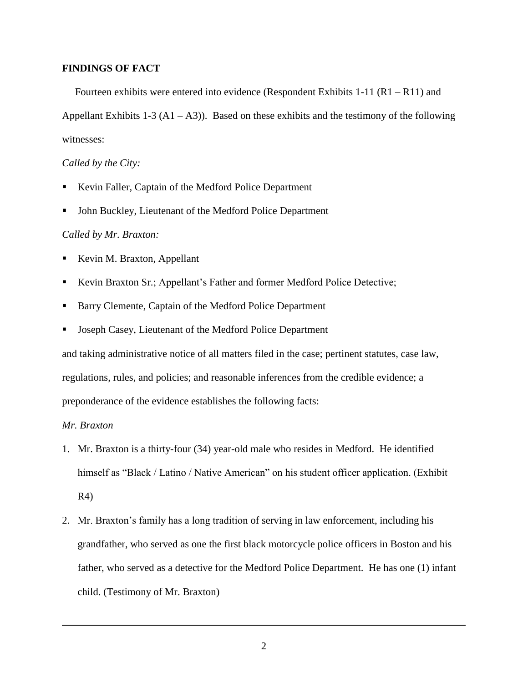## **FINDINGS OF FACT**

 Fourteen exhibits were entered into evidence (Respondent Exhibits 1-11 (R1 – R11) and Appellant Exhibits 1-3 ( $A1 - A3$ )). Based on these exhibits and the testimony of the following witnesses:

# *Called by the City:*

- Kevin Faller, Captain of the Medford Police Department
- John Buckley, Lieutenant of the Medford Police Department

## *Called by Mr. Braxton:*

- Kevin M. Braxton, Appellant
- Kevin Braxton Sr.; Appellant's Father and former Medford Police Detective;
- Barry Clemente, Captain of the Medford Police Department
- Joseph Casey, Lieutenant of the Medford Police Department

and taking administrative notice of all matters filed in the case; pertinent statutes, case law, regulations, rules, and policies; and reasonable inferences from the credible evidence; a preponderance of the evidence establishes the following facts:

## *Mr. Braxton*

 $\overline{a}$ 

- 1. Mr. Braxton is a thirty-four (34) year-old male who resides in Medford. He identified himself as "Black / Latino / Native American" on his student officer application. (Exhibit R4)
- 2. Mr. Braxton's family has a long tradition of serving in law enforcement, including his grandfather, who served as one the first black motorcycle police officers in Boston and his father, who served as a detective for the Medford Police Department. He has one (1) infant child. (Testimony of Mr. Braxton)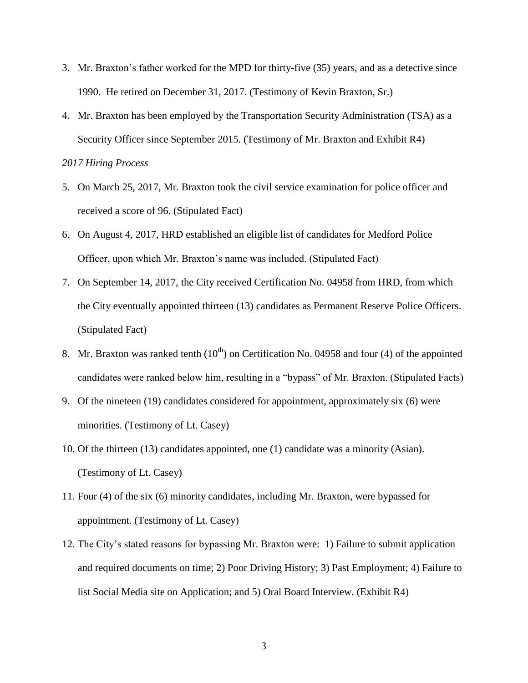- 3. Mr. Braxton's father worked for the MPD for thirty-five (35) years, and as a detective since 1990. He retired on December 31, 2017. (Testimony of Kevin Braxton, Sr.)
- 4. Mr. Braxton has been employed by the Transportation Security Administration (TSA) as a Security Officer since September 2015. (Testimony of Mr. Braxton and Exhibit R4)

## *2017 Hiring Process*

- 5. On March 25, 2017, Mr. Braxton took the civil service examination for police officer and received a score of 96. (Stipulated Fact)
- 6. On August 4, 2017, HRD established an eligible list of candidates for Medford Police Officer, upon which Mr. Braxton's name was included. (Stipulated Fact)
- 7. On September 14, 2017, the City received Certification No. 04958 from HRD, from which the City eventually appointed thirteen (13) candidates as Permanent Reserve Police Officers. (Stipulated Fact)
- 8. Mr. Braxton was ranked tenth  $(10<sup>th</sup>)$  on Certification No. 04958 and four (4) of the appointed candidates were ranked below him, resulting in a "bypass" of Mr. Braxton. (Stipulated Facts)
- 9. Of the nineteen (19) candidates considered for appointment, approximately six (6) were minorities. (Testimony of Lt. Casey)
- 10. Of the thirteen (13) candidates appointed, one (1) candidate was a minority (Asian). (Testimony of Lt. Casey)
- 11. Four (4) of the six (6) minority candidates, including Mr. Braxton, were bypassed for appointment. (Testimony of Lt. Casey)
- 12. The City's stated reasons for bypassing Mr. Braxton were: 1) Failure to submit application and required documents on time; 2) Poor Driving History; 3) Past Employment; 4) Failure to list Social Media site on Application; and 5) Oral Board Interview. (Exhibit R4)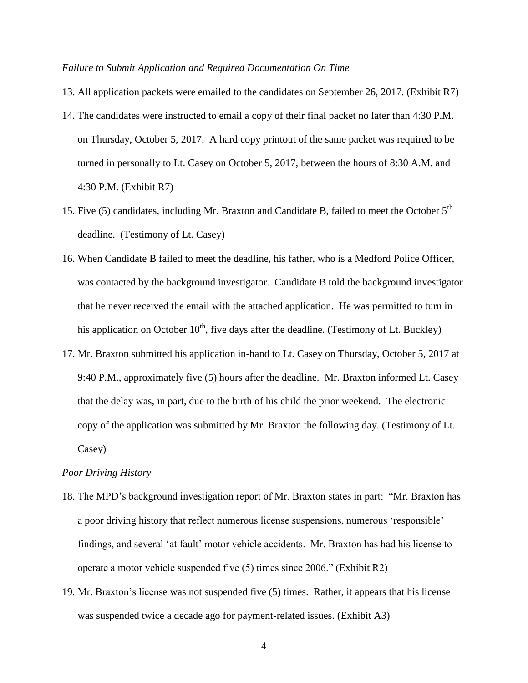#### *Failure to Submit Application and Required Documentation On Time*

- 13. All application packets were emailed to the candidates on September 26, 2017. (Exhibit R7)
- 14. The candidates were instructed to email a copy of their final packet no later than 4:30 P.M. on Thursday, October 5, 2017. A hard copy printout of the same packet was required to be turned in personally to Lt. Casey on October 5, 2017, between the hours of 8:30 A.M. and 4:30 P.M. (Exhibit R7)
- 15. Five (5) candidates, including Mr. Braxton and Candidate B, failed to meet the October 5<sup>th</sup> deadline. (Testimony of Lt. Casey)
- 16. When Candidate B failed to meet the deadline, his father, who is a Medford Police Officer, was contacted by the background investigator. Candidate B told the background investigator that he never received the email with the attached application. He was permitted to turn in his application on October  $10<sup>th</sup>$ , five days after the deadline. (Testimony of Lt. Buckley)
- 17. Mr. Braxton submitted his application in-hand to Lt. Casey on Thursday, October 5, 2017 at 9:40 P.M., approximately five (5) hours after the deadline. Mr. Braxton informed Lt. Casey that the delay was, in part, due to the birth of his child the prior weekend. The electronic copy of the application was submitted by Mr. Braxton the following day. (Testimony of Lt. Casey)

#### *Poor Driving History*

- 18. The MPD's background investigation report of Mr. Braxton states in part: "Mr. Braxton has a poor driving history that reflect numerous license suspensions, numerous 'responsible' findings, and several 'at fault' motor vehicle accidents. Mr. Braxton has had his license to operate a motor vehicle suspended five (5) times since 2006." (Exhibit R2)
- 19. Mr. Braxton's license was not suspended five (5) times. Rather, it appears that his license was suspended twice a decade ago for payment-related issues. (Exhibit A3)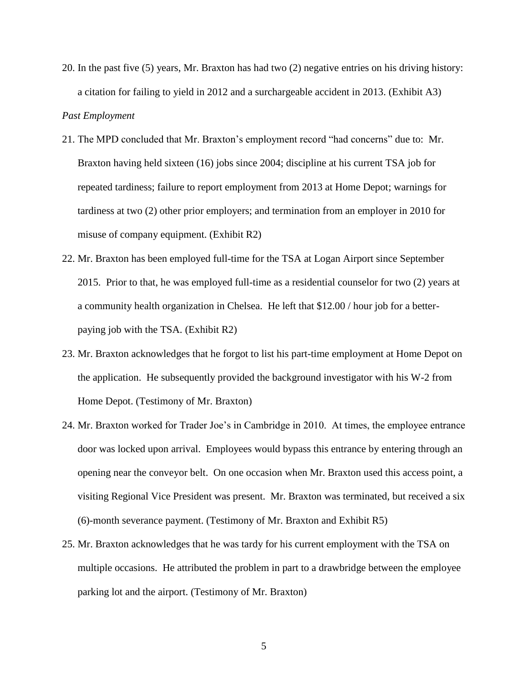20. In the past five (5) years, Mr. Braxton has had two (2) negative entries on his driving history: a citation for failing to yield in 2012 and a surchargeable accident in 2013. (Exhibit A3)

# *Past Employment*

- 21. The MPD concluded that Mr. Braxton's employment record "had concerns" due to: Mr. Braxton having held sixteen (16) jobs since 2004; discipline at his current TSA job for repeated tardiness; failure to report employment from 2013 at Home Depot; warnings for tardiness at two (2) other prior employers; and termination from an employer in 2010 for misuse of company equipment. (Exhibit R2)
- 22. Mr. Braxton has been employed full-time for the TSA at Logan Airport since September 2015. Prior to that, he was employed full-time as a residential counselor for two (2) years at a community health organization in Chelsea. He left that \$12.00 / hour job for a betterpaying job with the TSA. (Exhibit R2)
- 23. Mr. Braxton acknowledges that he forgot to list his part-time employment at Home Depot on the application. He subsequently provided the background investigator with his W-2 from Home Depot. (Testimony of Mr. Braxton)
- 24. Mr. Braxton worked for Trader Joe's in Cambridge in 2010. At times, the employee entrance door was locked upon arrival. Employees would bypass this entrance by entering through an opening near the conveyor belt. On one occasion when Mr. Braxton used this access point, a visiting Regional Vice President was present. Mr. Braxton was terminated, but received a six (6)-month severance payment. (Testimony of Mr. Braxton and Exhibit R5)
- 25. Mr. Braxton acknowledges that he was tardy for his current employment with the TSA on multiple occasions. He attributed the problem in part to a drawbridge between the employee parking lot and the airport. (Testimony of Mr. Braxton)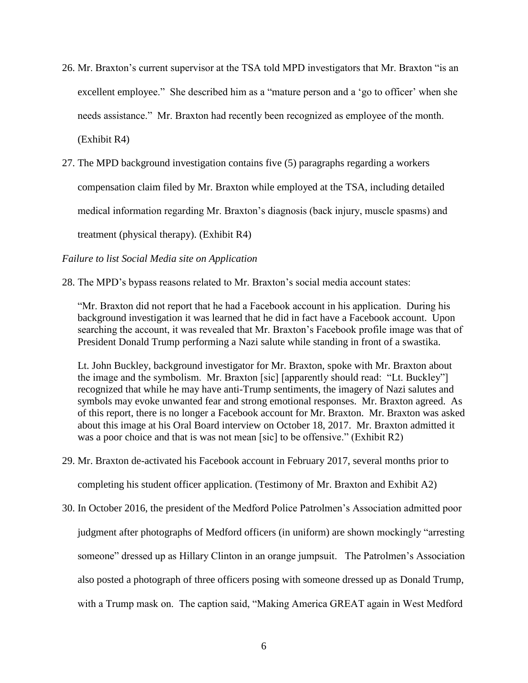- 26. Mr. Braxton's current supervisor at the TSA told MPD investigators that Mr. Braxton "is an excellent employee." She described him as a "mature person and a 'go to officer' when she needs assistance." Mr. Braxton had recently been recognized as employee of the month. (Exhibit R4)
- 27. The MPD background investigation contains five (5) paragraphs regarding a workers

compensation claim filed by Mr. Braxton while employed at the TSA, including detailed

medical information regarding Mr. Braxton's diagnosis (back injury, muscle spasms) and

treatment (physical therapy). (Exhibit R4)

*Failure to list Social Media site on Application*

28. The MPD's bypass reasons related to Mr. Braxton's social media account states:

"Mr. Braxton did not report that he had a Facebook account in his application. During his background investigation it was learned that he did in fact have a Facebook account. Upon searching the account, it was revealed that Mr. Braxton's Facebook profile image was that of President Donald Trump performing a Nazi salute while standing in front of a swastika.

Lt. John Buckley, background investigator for Mr. Braxton, spoke with Mr. Braxton about the image and the symbolism. Mr. Braxton [sic] [apparently should read: "Lt. Buckley"] recognized that while he may have anti-Trump sentiments, the imagery of Nazi salutes and symbols may evoke unwanted fear and strong emotional responses. Mr. Braxton agreed. As of this report, there is no longer a Facebook account for Mr. Braxton. Mr. Braxton was asked about this image at his Oral Board interview on October 18, 2017. Mr. Braxton admitted it was a poor choice and that is was not mean [sic] to be offensive." (Exhibit R2)

- 29. Mr. Braxton de-activated his Facebook account in February 2017, several months prior to completing his student officer application. (Testimony of Mr. Braxton and Exhibit A2)
- 30. In October 2016, the president of the Medford Police Patrolmen's Association admitted poor judgment after photographs of Medford officers (in uniform) are shown mockingly "arresting someone" dressed up as Hillary Clinton in an orange jumpsuit. The Patrolmen's Association also posted a photograph of three officers posing with someone dressed up as Donald Trump, with a Trump mask on. The caption said, "Making America GREAT again in West Medford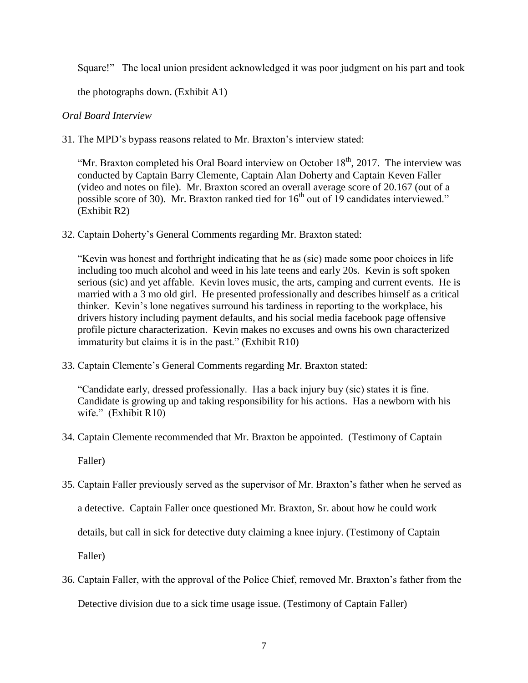Square!" The local union president acknowledged it was poor judgment on his part and took

the photographs down. (Exhibit A1)

# *Oral Board Interview*

31. The MPD's bypass reasons related to Mr. Braxton's interview stated:

"Mr. Braxton completed his Oral Board interview on October  $18<sup>th</sup>$ , 2017. The interview was conducted by Captain Barry Clemente, Captain Alan Doherty and Captain Keven Faller (video and notes on file). Mr. Braxton scored an overall average score of 20.167 (out of a possible score of 30). Mr. Braxton ranked tied for  $16<sup>th</sup>$  out of 19 candidates interviewed." (Exhibit R2)

32. Captain Doherty's General Comments regarding Mr. Braxton stated:

"Kevin was honest and forthright indicating that he as (sic) made some poor choices in life including too much alcohol and weed in his late teens and early 20s. Kevin is soft spoken serious (sic) and yet affable. Kevin loves music, the arts, camping and current events. He is married with a 3 mo old girl. He presented professionally and describes himself as a critical thinker. Kevin's lone negatives surround his tardiness in reporting to the workplace, his drivers history including payment defaults, and his social media facebook page offensive profile picture characterization. Kevin makes no excuses and owns his own characterized immaturity but claims it is in the past." (Exhibit R10)

33. Captain Clemente's General Comments regarding Mr. Braxton stated:

"Candidate early, dressed professionally. Has a back injury buy (sic) states it is fine. Candidate is growing up and taking responsibility for his actions. Has a newborn with his wife." (Exhibit R10)

34. Captain Clemente recommended that Mr. Braxton be appointed. (Testimony of Captain

Faller)

35. Captain Faller previously served as the supervisor of Mr. Braxton's father when he served as

a detective. Captain Faller once questioned Mr. Braxton, Sr. about how he could work

details, but call in sick for detective duty claiming a knee injury. (Testimony of Captain

Faller)

36. Captain Faller, with the approval of the Police Chief, removed Mr. Braxton's father from the

Detective division due to a sick time usage issue. (Testimony of Captain Faller)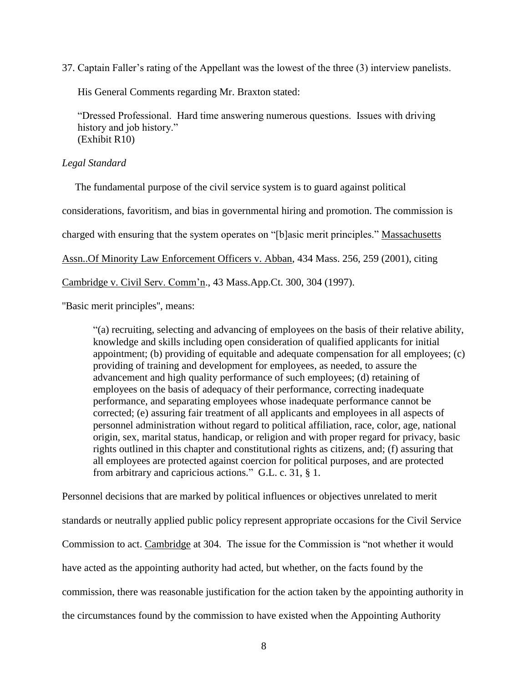37. Captain Faller's rating of the Appellant was the lowest of the three (3) interview panelists.

His General Comments regarding Mr. Braxton stated:

"Dressed Professional. Hard time answering numerous questions. Issues with driving history and job history." (Exhibit R10)

# *Legal Standard*

The fundamental purpose of the civil service system is to guard against political

considerations, favoritism, and bias in governmental hiring and promotion. The commission is

charged with ensuring that the system operates on "[b]asic merit principles." Massachusetts

Assn..Of Minority Law Enforcement Officers v. Abban, 434 Mass. 256, 259 (2001), citing

Cambridge v. Civil Serv. Comm'n., 43 Mass.App.Ct. 300, 304 (1997).

''Basic merit principles'', means:

"(a) recruiting, selecting and advancing of employees on the basis of their relative ability, knowledge and skills including open consideration of qualified applicants for initial appointment; (b) providing of equitable and adequate compensation for all employees; (c) providing of training and development for employees, as needed, to assure the advancement and high quality performance of such employees; (d) retaining of employees on the basis of adequacy of their performance, correcting inadequate performance, and separating employees whose inadequate performance cannot be corrected; (e) assuring fair treatment of all applicants and employees in all aspects of personnel administration without regard to political affiliation, race, color, age, national origin, sex, marital status, handicap, or religion and with proper regard for privacy, basic rights outlined in this chapter and constitutional rights as citizens, and; (f) assuring that all employees are protected against coercion for political purposes, and are protected from arbitrary and capricious actions." G.L. c. 31, § 1.

Personnel decisions that are marked by political influences or objectives unrelated to merit standards or neutrally applied public policy represent appropriate occasions for the Civil Service Commission to act. Cambridge at 304. The issue for the Commission is "not whether it would have acted as the appointing authority had acted, but whether, on the facts found by the commission, there was reasonable justification for the action taken by the appointing authority in the circumstances found by the commission to have existed when the Appointing Authority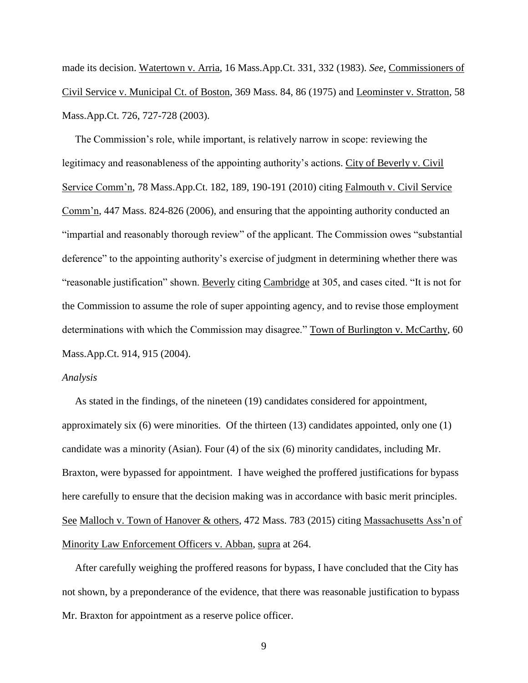made its decision. Watertown v. Arria, 16 Mass.App.Ct. 331, 332 (1983). *See*, Commissioners of Civil Service v. Municipal Ct. of Boston, 369 Mass. 84, 86 (1975) and Leominster v. Stratton, 58 Mass.App.Ct. 726, 727-728 (2003).

 The Commission's role, while important, is relatively narrow in scope: reviewing the legitimacy and reasonableness of the appointing authority's actions. City of Beverly v. Civil Service Comm'n, 78 Mass.App.Ct. 182, 189, 190-191 (2010) citing Falmouth v. Civil Service Comm'n, 447 Mass. 824-826 (2006), and ensuring that the appointing authority conducted an "impartial and reasonably thorough review" of the applicant. The Commission owes "substantial deference" to the appointing authority's exercise of judgment in determining whether there was "reasonable justification" shown. Beverly citing Cambridge at 305, and cases cited. "It is not for the Commission to assume the role of super appointing agency, and to revise those employment determinations with which the Commission may disagree." Town of Burlington v. McCarthy, 60 Mass.App.Ct. 914, 915 (2004).

#### *Analysis*

 As stated in the findings, of the nineteen (19) candidates considered for appointment, approximately six (6) were minorities. Of the thirteen (13) candidates appointed, only one (1) candidate was a minority (Asian). Four (4) of the six (6) minority candidates, including Mr. Braxton, were bypassed for appointment. I have weighed the proffered justifications for bypass here carefully to ensure that the decision making was in accordance with basic merit principles. See Malloch v. Town of Hanover & others, 472 Mass. 783 (2015) citing Massachusetts Ass'n of Minority Law Enforcement Officers v. Abban, supra at 264.

 After carefully weighing the proffered reasons for bypass, I have concluded that the City has not shown, by a preponderance of the evidence, that there was reasonable justification to bypass Mr. Braxton for appointment as a reserve police officer.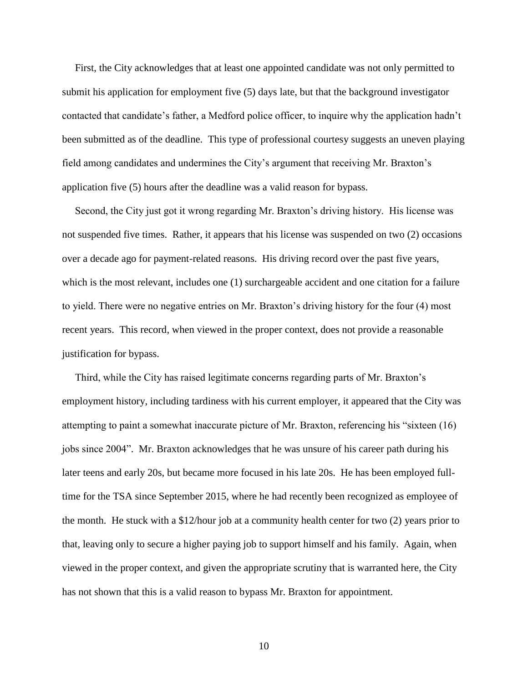First, the City acknowledges that at least one appointed candidate was not only permitted to submit his application for employment five (5) days late, but that the background investigator contacted that candidate's father, a Medford police officer, to inquire why the application hadn't been submitted as of the deadline. This type of professional courtesy suggests an uneven playing field among candidates and undermines the City's argument that receiving Mr. Braxton's application five (5) hours after the deadline was a valid reason for bypass.

 Second, the City just got it wrong regarding Mr. Braxton's driving history. His license was not suspended five times. Rather, it appears that his license was suspended on two (2) occasions over a decade ago for payment-related reasons. His driving record over the past five years, which is the most relevant, includes one (1) surchargeable accident and one citation for a failure to yield. There were no negative entries on Mr. Braxton's driving history for the four (4) most recent years. This record, when viewed in the proper context, does not provide a reasonable justification for bypass.

 Third, while the City has raised legitimate concerns regarding parts of Mr. Braxton's employment history, including tardiness with his current employer, it appeared that the City was attempting to paint a somewhat inaccurate picture of Mr. Braxton, referencing his "sixteen (16) jobs since 2004". Mr. Braxton acknowledges that he was unsure of his career path during his later teens and early 20s, but became more focused in his late 20s. He has been employed fulltime for the TSA since September 2015, where he had recently been recognized as employee of the month. He stuck with a \$12/hour job at a community health center for two (2) years prior to that, leaving only to secure a higher paying job to support himself and his family. Again, when viewed in the proper context, and given the appropriate scrutiny that is warranted here, the City has not shown that this is a valid reason to bypass Mr. Braxton for appointment.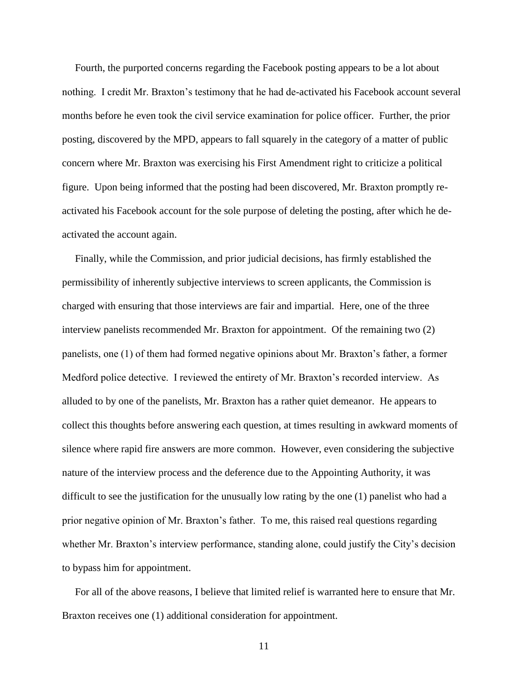Fourth, the purported concerns regarding the Facebook posting appears to be a lot about nothing. I credit Mr. Braxton's testimony that he had de-activated his Facebook account several months before he even took the civil service examination for police officer. Further, the prior posting, discovered by the MPD, appears to fall squarely in the category of a matter of public concern where Mr. Braxton was exercising his First Amendment right to criticize a political figure. Upon being informed that the posting had been discovered, Mr. Braxton promptly reactivated his Facebook account for the sole purpose of deleting the posting, after which he deactivated the account again.

 Finally, while the Commission, and prior judicial decisions, has firmly established the permissibility of inherently subjective interviews to screen applicants, the Commission is charged with ensuring that those interviews are fair and impartial. Here, one of the three interview panelists recommended Mr. Braxton for appointment. Of the remaining two (2) panelists, one (1) of them had formed negative opinions about Mr. Braxton's father, a former Medford police detective. I reviewed the entirety of Mr. Braxton's recorded interview. As alluded to by one of the panelists, Mr. Braxton has a rather quiet demeanor. He appears to collect this thoughts before answering each question, at times resulting in awkward moments of silence where rapid fire answers are more common. However, even considering the subjective nature of the interview process and the deference due to the Appointing Authority, it was difficult to see the justification for the unusually low rating by the one (1) panelist who had a prior negative opinion of Mr. Braxton's father. To me, this raised real questions regarding whether Mr. Braxton's interview performance, standing alone, could justify the City's decision to bypass him for appointment.

 For all of the above reasons, I believe that limited relief is warranted here to ensure that Mr. Braxton receives one (1) additional consideration for appointment.